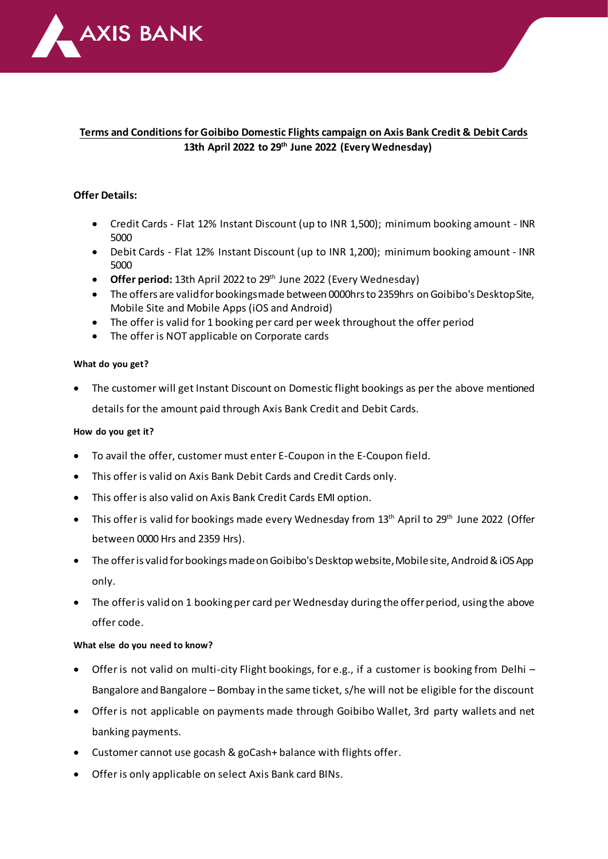

# **Terms and Conditions for Goibibo Domestic Flights campaign on Axis Bank Credit & Debit Cards 13th April 2022 to 29th June 2022 (Every Wednesday)**

## **Offer Details:**

- Credit Cards Flat 12% Instant Discount (up to INR 1,500); minimum booking amount INR 5000
- Debit Cards Flat 12% Instant Discount (up to INR 1,200); minimum booking amount INR 5000
- Offer period: 13th April 2022 to 29<sup>th</sup> June 2022 (Every Wednesday)
- The offers are valid for bookings made between 0000hrs to 2359hrs on Goibibo's Desktop Site, Mobile Site and Mobile Apps (iOS and Android)
- The offer is valid for 1 booking per card per week throughout the offer period
- The offer is NOT applicable on Corporate cards

#### **What do you get?**

• The customer will get Instant Discount on Domestic flight bookings as per the above mentioned details for the amount paid through Axis Bank Credit and Debit Cards.

### **How do you get it?**

- To avail the offer, customer must enter E-Coupon in the E-Coupon field.
- This offer is valid on Axis Bank Debit Cards and Credit Cards only.
- This offer is also valid on Axis Bank Credit Cards EMI option.
- This offer is valid for bookings made every Wednesday from  $13<sup>th</sup>$  April to  $29<sup>th</sup>$  June 2022 (Offer between 0000 Hrs and 2359 Hrs).
- The offer is valid for bookings made on Goibibo's Desktop website, Mobile site, Android & iOS App only.
- The offer is valid on 1 booking per card per Wednesday during the offer period, using the above offer code.

#### **What else do you need to know?**

- Offer is not valid on multi-city Flight bookings, for e.g., if a customer is booking from Delhi Bangalore and Bangalore – Bombay in the same ticket, s/he will not be eligible for the discount
- Offer is not applicable on payments made through Goibibo Wallet, 3rd party wallets and net banking payments.
- Customer cannot use gocash & goCash+ balance with flights offer.
- Offer is only applicable on select Axis Bank card BINs.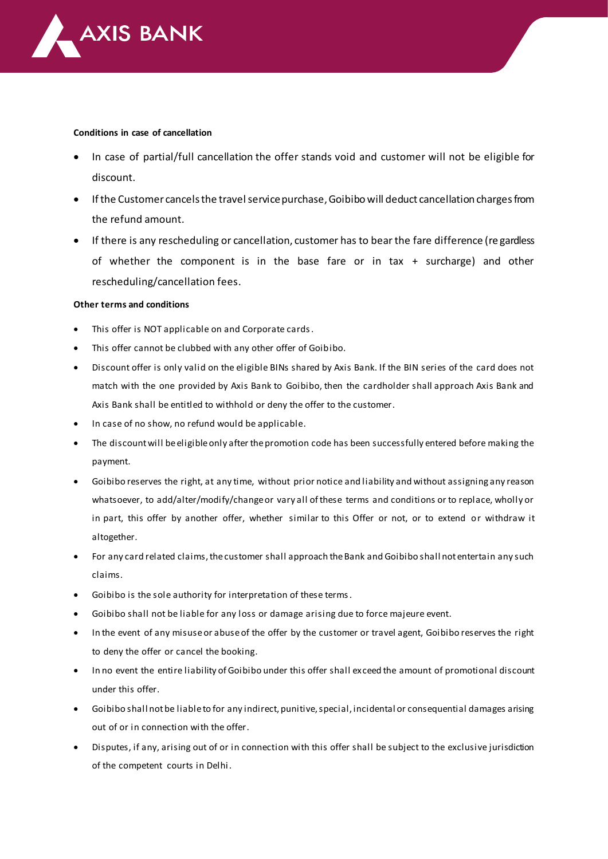

#### **Conditions in case of cancellation**

- In case of partial/full cancellation the offer stands void and customer will not be eligible for discount.
- If the Customer cancels the travel service purchase, Goibibo will deduct cancellation charges from the refund amount.
- If there is any rescheduling or cancellation, customer has to bear the fare difference (re gardless of whether the component is in the base fare or in tax + surcharge) and other rescheduling/cancellation fees.

#### **Other terms and conditions**

- This offer is NOT applicable on and Corporate cards.
- This offer cannot be clubbed with any other offer of Goibibo.
- Discount offer is only valid on the eligible BINs shared by Axis Bank. If the BIN series of the card does not match with the one provided by Axis Bank to Goibibo, then the cardholder shall approach Axis Bank and Axis Bank shall be entitled to withhold or deny the offer to the customer.
- In case of no show, no refund would be applicable.
- The discount will be eligible only after the promotion code has been successfully entered before making the payment.
- Goibibo reserves the right, at any time, without prior notice and liability and without assigning any reason whatsoever, to add/alter/modify/change or vary all of these terms and conditions or to replace, wholly or in part, this offer by another offer, whether similar to this Offer or not, or to extend or withdraw it altogether.
- For any card related claims, the customer shall approach the Bank and Goibibo shall not entertain any such claims.
- Goibibo is the sole authority for interpretation of these terms.
- Goibibo shall not be liable for any loss or damage arising due to force majeure event.
- In the event of any misuse or abuse of the offer by the customer or travel agent, Goibibo reserves the right to deny the offer or cancel the booking.
- In no event the entire liability of Goibibo under this offer shall exceed the amount of promotional discount under this offer.
- Goibibo shall not be liable to for any indirect, punitive, special, incidental or consequential damages arising out of or in connection with the offer.
- Disputes, if any, arising out of or in connection with this offer shall be subject to the exclusive jurisdiction of the competent courts in Delhi.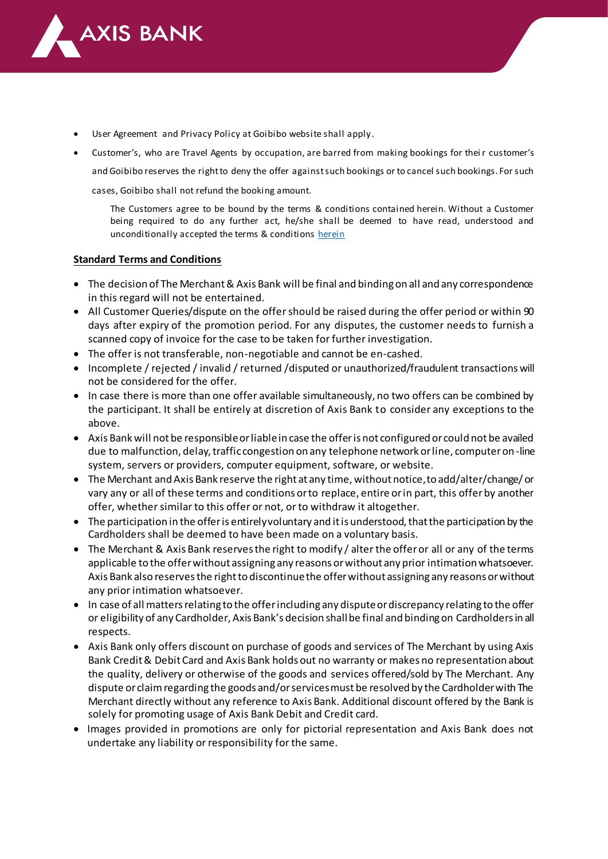

- User Agreement and Privacy Policy at Goibibo website shall apply.
- Customer's, who are Travel Agents by occupation, are barred from making bookings for thei r customer's and Goibibo reserves the right to deny the offer against such bookings or to cancel such bookings. For such

cases, Goibibo shall not refund the booking amount.

The Customers agree to be bound by the terms & conditions contained herein. Without a Customer being required to do any further act, he/she shall be deemed to have read, understood and unconditionally accepted the terms & condition[s herein](https://www.goibibo.com/info/terms-and-conditions/)

## **Standard Terms and Conditions**

- The decision of The Merchant & Axis Bank will be final and binding on all and any correspondence in this regard will not be entertained.
- All Customer Queries/dispute on the offer should be raised during the offer period or within 90 days after expiry of the promotion period. For any disputes, the customer needs to furnish a scanned copy of invoice for the case to be taken for further investigation.
- The offer is not transferable, non-negotiable and cannot be en-cashed.
- Incomplete / rejected / invalid / returned /disputed or unauthorized/fraudulent transactions will not be considered for the offer.
- In case there is more than one offer available simultaneously, no two offers can be combined by the participant. It shall be entirely at discretion of Axis Bank to consider any exceptions to the above.
- Axis Bank will not be responsible or liable in case the offer is not configured or could not be availed due to malfunction, delay, traffic congestion on any telephone network or line, computer on-line system, servers or providers, computer equipment, software, or website.
- The Merchant and Axis Bank reserve the right at any time, without notice, to add/alter/change/ or vary any or all of these terms and conditions or to replace, entire or in part, this offer by another offer, whether similar to this offer or not, or to withdraw it altogether.
- The participation in the offer is entirely voluntary and it is understood, that the participation by the Cardholders shall be deemed to have been made on a voluntary basis.
- The Merchant & Axis Bank reserves the right to modify / alter the offer or all or any of the terms applicable to the offer without assigning any reasons or without any prior intimation whatsoever. Axis Bank also reserves the right to discontinue the offer without assigning any reasons or without any prior intimation whatsoever.
- In case of all matters relating to the offer including any dispute or discrepancy relating to the offer or eligibility of any Cardholder, Axis Bank's decision shall be final and binding on Cardholders in all respects.
- Axis Bank only offers discount on purchase of goods and services of The Merchant by using Axis Bank Credit & Debit Card and Axis Bank holds out no warranty or makes no representation about the quality, delivery or otherwise of the goods and services offered/sold by The Merchant. Any dispute or claim regarding the goods and/or services must be resolved by the Cardholder with The Merchant directly without any reference to Axis Bank. Additional discount offered by the Bank is solely for promoting usage of Axis Bank Debit and Credit card.
- Images provided in promotions are only for pictorial representation and Axis Bank does not undertake any liability or responsibility for the same.